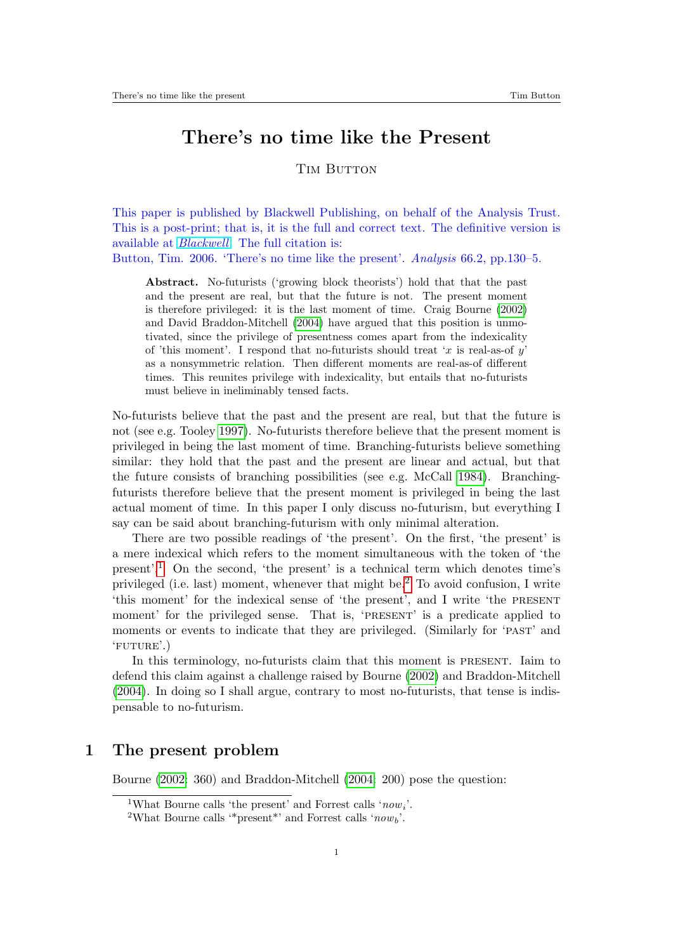# There's no time like the Present

**TIM BUTTON** 

This paper is published by Blackwell Publishing, on behalf of the Analysis Trust. This is a post-print; that is, it is the full and correct text. The definitive version is available at [Blackwell](http://www.blackwell-synergy.com/). The full citation is:

Button, Tim. 2006. 'There's no time like the present'. Analysis 66.2, pp.130–5.

Abstract. No-futurists ('growing block theorists') hold that that the past and the present are real, but that the future is not. The present moment is therefore privileged: it is the last moment of time. Craig Bourne [\(2002\)](#page-4-0) and David Braddon-Mitchell [\(2004\)](#page-4-1) have argued that this position is unmotivated, since the privilege of presentness comes apart from the indexicality of 'this moment'. I respond that no-futurists should treat 'x is real-as-of  $y'$ as a nonsymmetric relation. Then different moments are real-as-of different times. This reunites privilege with indexicality, but entails that no-futurists must believe in ineliminably tensed facts.

No-futurists believe that the past and the present are real, but that the future is not (see e.g. Tooley [1997\)](#page-4-2). No-futurists therefore believe that the present moment is privileged in being the last moment of time. Branching-futurists believe something similar: they hold that the past and the present are linear and actual, but that the future consists of branching possibilities (see e.g. McCall [1984\)](#page-4-3). Branchingfuturists therefore believe that the present moment is privileged in being the last actual moment of time. In this paper I only discuss no-futurism, but everything I say can be said about branching-futurism with only minimal alteration.

There are two possible readings of 'the present'. On the first, 'the present' is a mere indexical which refers to the moment simultaneous with the token of 'the present'.[1](#page-0-0) On the second, 'the present' is a technical term which denotes time's privileged (i.e. last) moment, whenever that might be.<sup>[2](#page-0-1)</sup> To avoid confusion, I write 'this moment' for the indexical sense of 'the present', and I write 'the present moment' for the privileged sense. That is, 'PRESENT' is a predicate applied to moments or events to indicate that they are privileged. (Similarly for 'past' and 'FUTURE'.)

In this terminology, no-futurists claim that this moment is present. Iaim to defend this claim against a challenge raised by Bourne [\(2002\)](#page-4-0) and Braddon-Mitchell [\(2004\)](#page-4-1). In doing so I shall argue, contrary to most no-futurists, that tense is indispensable to no-futurism.

### <span id="page-0-2"></span>1 The present problem

Bourne [\(2002:](#page-4-0) 360) and Braddon-Mitchell [\(2004:](#page-4-1) 200) pose the question:

<span id="page-0-0"></span><sup>&</sup>lt;sup>1</sup>What Bourne calls 'the present' and Forrest calls ' $now_i'$ .

<span id="page-0-1"></span><sup>&</sup>lt;sup>2</sup>What Bourne calls '\*present\*' and Forrest calls ' $now<sub>b</sub>'$ .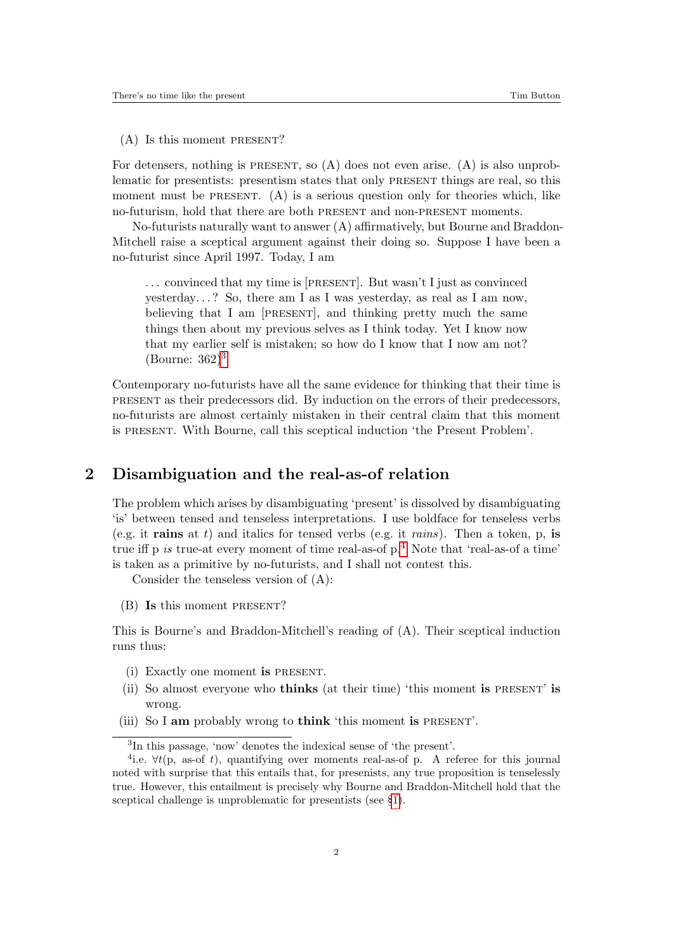(A) Is this moment present?

For detensers, nothing is PRESENT, so  $(A)$  does not even arise.  $(A)$  is also unproblematic for presentists: presentism states that only PRESENT things are real, so this moment must be PRESENT.  $(A)$  is a serious question only for theories which, like no-futurism, hold that there are both present and non-present moments.

No-futurists naturally want to answer (A) affirmatively, but Bourne and Braddon-Mitchell raise a sceptical argument against their doing so. Suppose I have been a no-futurist since April 1997. Today, I am

... convinced that my time is [PRESENT]. But wasn't I just as convinced yesterday...? So, there am I as I was yesterday, as real as I am now, believing that I am [present], and thinking pretty much the same things then about my previous selves as I think today. Yet I know now that my earlier self is mistaken; so how do I know that I now am not? (Bourne:  $362$  $362$ )<sup>3</sup>

Contemporary no-futurists have all the same evidence for thinking that their time is present as their predecessors did. By induction on the errors of their predecessors, no-futurists are almost certainly mistaken in their central claim that this moment is present. With Bourne, call this sceptical induction 'the Present Problem'.

### 2 Disambiguation and the real-as-of relation

The problem which arises by disambiguating 'present' is dissolved by disambiguating 'is' between tensed and tenseless interpretations. I use boldface for tenseless verbs (e.g. it rains at t) and italics for tensed verbs (e.g. it rains). Then a token, p, is true iff p is true-at every moment of time real-as-of  $p<sup>4</sup>$  $p<sup>4</sup>$  $p<sup>4</sup>$ . Note that 'real-as-of a time' is taken as a primitive by no-futurists, and I shall not contest this.

Consider the tenseless version of (A):

(B) Is this moment present?

This is Bourne's and Braddon-Mitchell's reading of (A). Their sceptical induction runs thus:

- (i) Exactly one moment is present.
- (ii) So almost everyone who thinks (at their time) 'this moment is present' is wrong.
- (iii) So I am probably wrong to think 'this moment is PRESENT'.

<span id="page-1-1"></span><span id="page-1-0"></span><sup>3</sup> In this passage, 'now' denotes the indexical sense of 'the present'.

<sup>&</sup>lt;sup>4</sup>i.e.  $\forall t(p, \text{ as-of } t)$ , quantifying over moments real-as-of p. A referee for this journal noted with surprise that this entails that, for presenists, any true proposition is tenselessly true. However, this entailment is precisely why Bourne and Braddon-Mitchell hold that the sceptical challenge is unproblematic for presentists (see §[1\)](#page-0-2).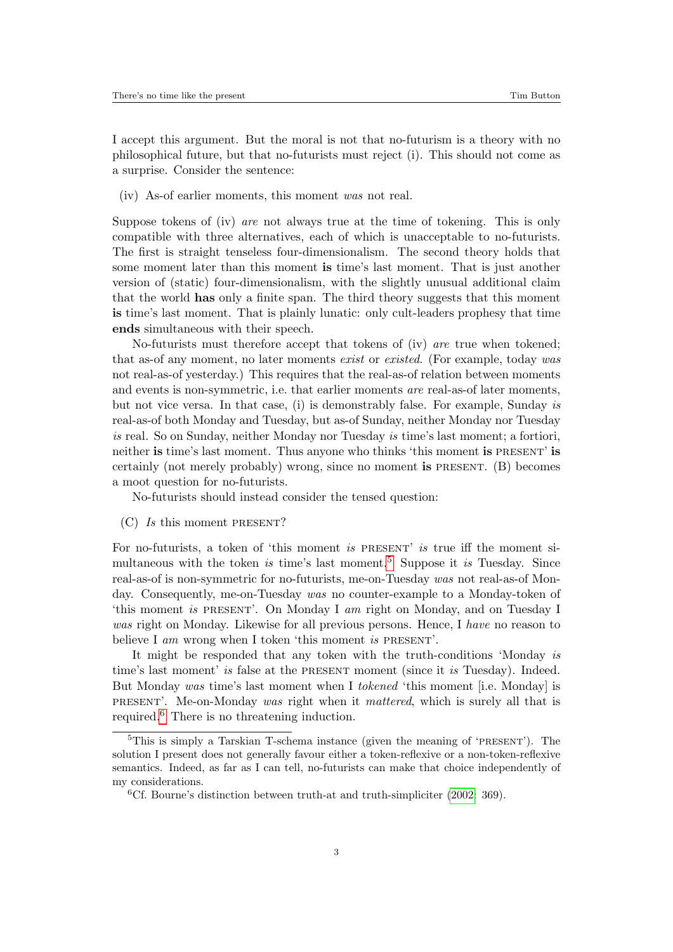I accept this argument. But the moral is not that no-futurism is a theory with no philosophical future, but that no-futurists must reject (i). This should not come as a surprise. Consider the sentence:

(iv) As-of earlier moments, this moment was not real.

Suppose tokens of (iv) are not always true at the time of tokening. This is only compatible with three alternatives, each of which is unacceptable to no-futurists. The first is straight tenseless four-dimensionalism. The second theory holds that some moment later than this moment is time's last moment. That is just another version of (static) four-dimensionalism, with the slightly unusual additional claim that the world has only a finite span. The third theory suggests that this moment is time's last moment. That is plainly lunatic: only cult-leaders prophesy that time ends simultaneous with their speech.

No-futurists must therefore accept that tokens of (iv) are true when tokened; that as-of any moment, no later moments exist or existed. (For example, today was not real-as-of yesterday.) This requires that the real-as-of relation between moments and events is non-symmetric, i.e. that earlier moments are real-as-of later moments, but not vice versa. In that case, (i) is demonstrably false. For example, Sunday is real-as-of both Monday and Tuesday, but as-of Sunday, neither Monday nor Tuesday is real. So on Sunday, neither Monday nor Tuesday is time's last moment; a fortiori, neither is time's last moment. Thus anyone who thinks 'this moment is present' is certainly (not merely probably) wrong, since no moment is present. (B) becomes a moot question for no-futurists.

No-futurists should instead consider the tensed question:

 $(C)$  Is this moment PRESENT?

For no-futurists, a token of 'this moment is PRESENT' is true iff the moment si-multaneous with the token is time's last moment.<sup>[5](#page-2-0)</sup> Suppose it is Tuesday. Since real-as-of is non-symmetric for no-futurists, me-on-Tuesday was not real-as-of Monday. Consequently, me-on-Tuesday was no counter-example to a Monday-token of 'this moment is present'. On Monday I am right on Monday, and on Tuesday I was right on Monday. Likewise for all previous persons. Hence, I have no reason to believe I am wrong when I token 'this moment is PRESENT'.

It might be responded that any token with the truth-conditions 'Monday is time's last moment' is false at the PRESENT moment (since it is Tuesday). Indeed. But Monday was time's last moment when I tokened 'this moment [i.e. Monday] is present'. Me-on-Monday was right when it mattered, which is surely all that is required.[6](#page-2-1) There is no threatening induction.

<span id="page-2-0"></span><sup>&</sup>lt;sup>5</sup>This is simply a Tarskian T-schema instance (given the meaning of 'PRESENT'). The solution I present does not generally favour either a token-reflexive or a non-token-reflexive semantics. Indeed, as far as I can tell, no-futurists can make that choice independently of my considerations.

<span id="page-2-1"></span> ${}^{6}$ Cf. Bourne's distinction between truth-at and truth-simpliciter [\(2002:](#page-4-0) 369).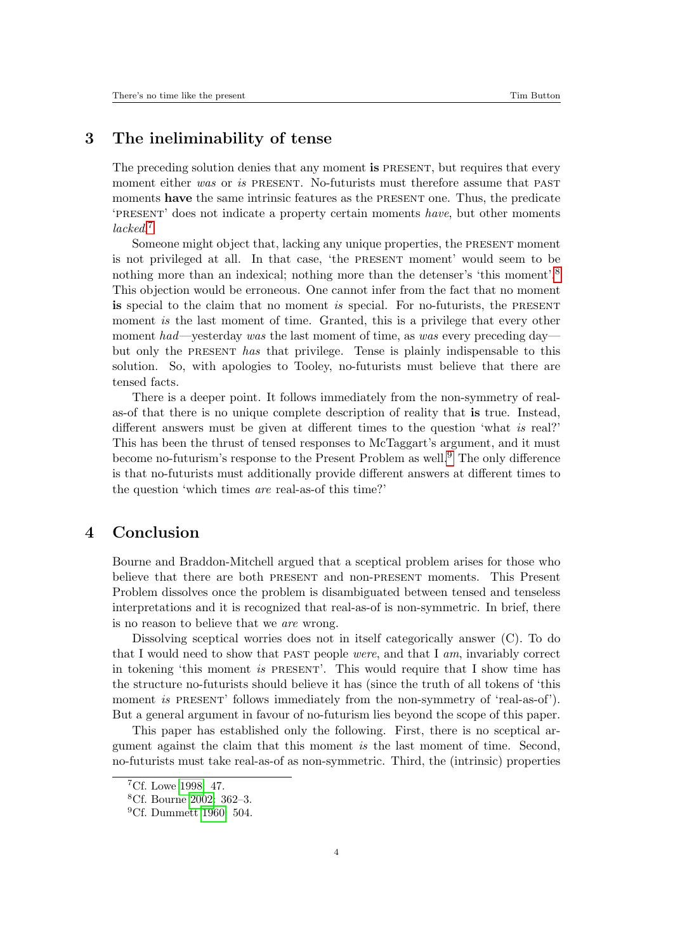## 3 The ineliminability of tense

The preceding solution denies that any moment is PRESENT, but requires that every moment either was or is PRESENT. No-futurists must therefore assume that PAST moments **have** the same intrinsic features as the PRESENT one. Thus, the predicate 'present' does not indicate a property certain moments have, but other moments lacked. [7](#page-3-0)

Someone might object that, lacking any unique properties, the present moment is not privileged at all. In that case, 'the present moment' would seem to be nothing more than an indexical; nothing more than the detenser's 'this moment'.<sup>[8](#page-3-1)</sup> This objection would be erroneous. One cannot infer from the fact that no moment is special to the claim that no moment is special. For no-futurists, the PRESENT moment *is* the last moment of time. Granted, this is a privilege that every other moment had—yesterday was the last moment of time, as was every preceding day but only the present has that privilege. Tense is plainly indispensable to this solution. So, with apologies to Tooley, no-futurists must believe that there are tensed facts.

There is a deeper point. It follows immediately from the non-symmetry of realas-of that there is no unique complete description of reality that is true. Instead, different answers must be given at different times to the question 'what is real?' This has been the thrust of tensed responses to McTaggart's argument, and it must become no-futurism's response to the Present Problem as well.<sup>[9](#page-3-2)</sup> The only difference is that no-futurists must additionally provide different answers at different times to the question 'which times are real-as-of this time?'

## 4 Conclusion

Bourne and Braddon-Mitchell argued that a sceptical problem arises for those who believe that there are both present and non-present moments. This Present Problem dissolves once the problem is disambiguated between tensed and tenseless interpretations and it is recognized that real-as-of is non-symmetric. In brief, there is no reason to believe that we are wrong.

Dissolving sceptical worries does not in itself categorically answer (C). To do that I would need to show that past people were, and that I am, invariably correct in tokening 'this moment is PRESENT'. This would require that I show time has the structure no-futurists should believe it has (since the truth of all tokens of 'this moment *is* PRESENT' follows immediately from the non-symmetry of 'real-as-of'). But a general argument in favour of no-futurism lies beyond the scope of this paper.

This paper has established only the following. First, there is no sceptical argument against the claim that this moment is the last moment of time. Second, no-futurists must take real-as-of as non-symmetric. Third, the (intrinsic) properties

<span id="page-3-0"></span><sup>&</sup>lt;sup>7</sup>Cf. Lowe [1998:](#page-4-4) 47.

<span id="page-3-1"></span><sup>8</sup>Cf. Bourne [2002:](#page-4-0) 362–3.

<span id="page-3-2"></span><sup>&</sup>lt;sup>9</sup>Cf. Dummett [1960:](#page-4-5) 504.